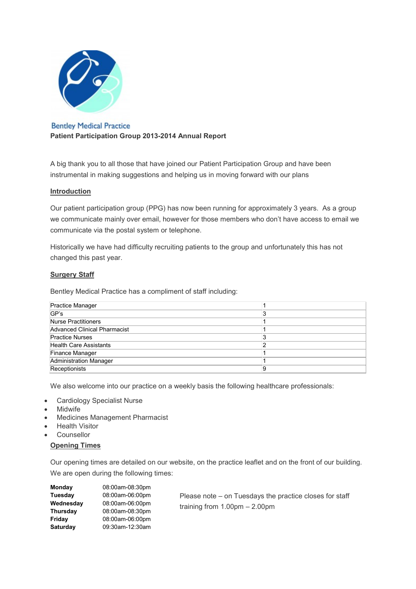

**Bentley Medical Practice** Patient Participation Group 2013-2014 Annual Report

A big thank you to all those that have joined our Patient Participation Group and have been instrumental in making suggestions and helping us in moving forward with our plans

### Introduction

Our patient participation group (PPG) has now been running for approximately 3 years. As a group we communicate mainly over email, however for those members who don't have access to email we communicate via the postal system or telephone.

Historically we have had difficulty recruiting patients to the group and unfortunately this has not changed this past year.

# **Surgery Staff**

Bentley Medical Practice has a compliment of staff including:

| <b>Practice Manager</b>       |  |
|-------------------------------|--|
| GP's                          |  |
| Nurse Practitioners           |  |
| Advanced Clinical Pharmacist  |  |
| <b>Practice Nurses</b>        |  |
| <b>Health Care Assistants</b> |  |
| Finance Manager               |  |
| <b>Administration Manager</b> |  |
| Receptionists                 |  |

We also welcome into our practice on a weekly basis the following healthcare professionals:

- Cardiology Specialist Nurse
- Midwife
- **Medicines Management Pharmacist**
- **Health Visitor**
- Counsellor

#### Opening Times

Our opening times are detailed on our website, on the practice leaflet and on the front of our building. We are open during the following times:

| Monday         | 08:00am-08:30pm |     |
|----------------|-----------------|-----|
| <b>Tuesday</b> | 08:00am-06:00pm | Ρ   |
| Wednesday      | 08:00am-06:00pm | tri |
| Thursday       | 08:00am-08:30pm |     |
| Friday         | 08:00am-06:00pm |     |
| Saturday       | 09:30am-12:30am |     |
|                |                 |     |

lease note – on Tuesdays the practice closes for staff  $raining from 1.00pm - 2.00pm$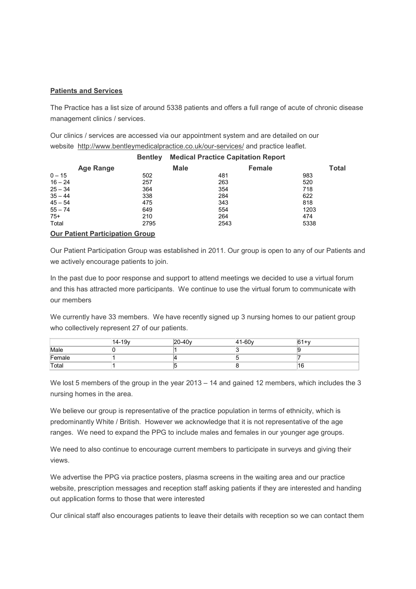### Patients and Services

The Practice has a list size of around 5338 patients and offers a full range of acute of chronic disease management clinics / services.

Our clinics / services are accessed via our appointment system and are detailed on our website http://www.bentleymedicalpractice.co.uk/our-services/ and practice leaflet.

|                                        | <b>Bentley</b> | <b>Medical Practice Capitation Report</b> |               |              |  |
|----------------------------------------|----------------|-------------------------------------------|---------------|--------------|--|
| Age Range                              |                | <b>Male</b>                               | <b>Female</b> | <b>Total</b> |  |
| $0 - 15$                               | 502            | 481                                       |               | 983          |  |
| $16 - 24$                              | 257            | 263                                       |               | 520          |  |
| $25 - 34$                              | 364            | 354                                       |               | 718          |  |
| $35 - 44$                              | 338            | 284                                       |               | 622          |  |
| $45 - 54$                              | 475            | 343                                       |               | 818          |  |
| $55 - 74$                              | 649            | 554                                       |               | 1203         |  |
| $75+$                                  | 210            | 264                                       |               | 474          |  |
| Total                                  | 2795           | 2543                                      |               | 5338         |  |
| <b>Our Patient Participation Group</b> |                |                                           |               |              |  |

Our Patient Participation Group was established in 2011. Our group is open to any of our Patients and we actively encourage patients to join.

In the past due to poor response and support to attend meetings we decided to use a virtual forum and this has attracted more participants. We continue to use the virtual forum to communicate with our members

We currently have 33 members. We have recently signed up 3 nursing homes to our patient group who collectively represent 27 of our patients.

|        | 14-19 <sub>v</sub> | 20-40 <sub>v</sub> | 41-60 <sub>v</sub> | $61+v$ |
|--------|--------------------|--------------------|--------------------|--------|
| Male   |                    |                    |                    |        |
| Female |                    |                    |                    |        |
| Total  |                    |                    |                    | 16     |

We lost 5 members of the group in the year 2013 – 14 and gained 12 members, which includes the 3 nursing homes in the area.

We believe our group is representative of the practice population in terms of ethnicity, which is predominantly White / British. However we acknowledge that it is not representative of the age ranges. We need to expand the PPG to include males and females in our younger age groups.

We need to also continue to encourage current members to participate in surveys and giving their views.

We advertise the PPG via practice posters, plasma screens in the waiting area and our practice website, prescription messages and reception staff asking patients if they are interested and handing out application forms to those that were interested

Our clinical staff also encourages patients to leave their details with reception so we can contact them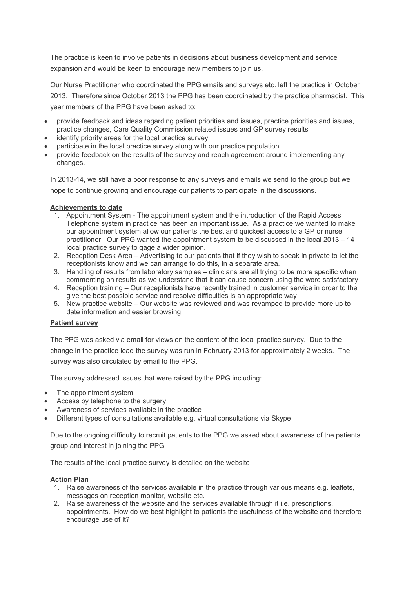The practice is keen to involve patients in decisions about business development and service expansion and would be keen to encourage new members to join us.

Our Nurse Practitioner who coordinated the PPG emails and surveys etc. left the practice in October 2013. Therefore since October 2013 the PPG has been coordinated by the practice pharmacist. This year members of the PPG have been asked to:

- provide feedback and ideas regarding patient priorities and issues, practice priorities and issues, practice changes, Care Quality Commission related issues and GP survey results
- identify priority areas for the local practice survey
- participate in the local practice survey along with our practice population
- provide feedback on the results of the survey and reach agreement around implementing any changes.

In 2013-14, we still have a poor response to any surveys and emails we send to the group but we hope to continue growing and encourage our patients to participate in the discussions.

## Achievements to date

- 1. Appointment System The appointment system and the introduction of the Rapid Access Telephone system in practice has been an important issue. As a practice we wanted to make our appointment system allow our patients the best and quickest access to a GP or nurse practitioner. Our PPG wanted the appointment system to be discussed in the local 2013 – 14 local practice survey to gage a wider opinion.
- 2. Reception Desk Area Advertising to our patients that if they wish to speak in private to let the receptionists know and we can arrange to do this, in a separate area.
- 3. Handling of results from laboratory samples clinicians are all trying to be more specific when commenting on results as we understand that it can cause concern using the word satisfactory
- 4. Reception training Our receptionists have recently trained in customer service in order to the give the best possible service and resolve difficulties is an appropriate way
- 5. New practice website Our website was reviewed and was revamped to provide more up to date information and easier browsing

### Patient survey

The PPG was asked via email for views on the content of the local practice survey. Due to the change in the practice lead the survey was run in February 2013 for approximately 2 weeks. The survey was also circulated by email to the PPG.

The survey addressed issues that were raised by the PPG including:

- The appointment system
- Access by telephone to the surgery
- Awareness of services available in the practice
- Different types of consultations available e.g. virtual consultations via Skype

Due to the ongoing difficulty to recruit patients to the PPG we asked about awareness of the patients group and interest in joining the PPG

The results of the local practice survey is detailed on the website

### Action Plan

- 1. Raise awareness of the services available in the practice through various means e.g. leaflets, messages on reception monitor, website etc.
- 2. Raise awareness of the website and the services available through it i.e. prescriptions, appointments. How do we best highlight to patients the usefulness of the website and therefore encourage use of it?